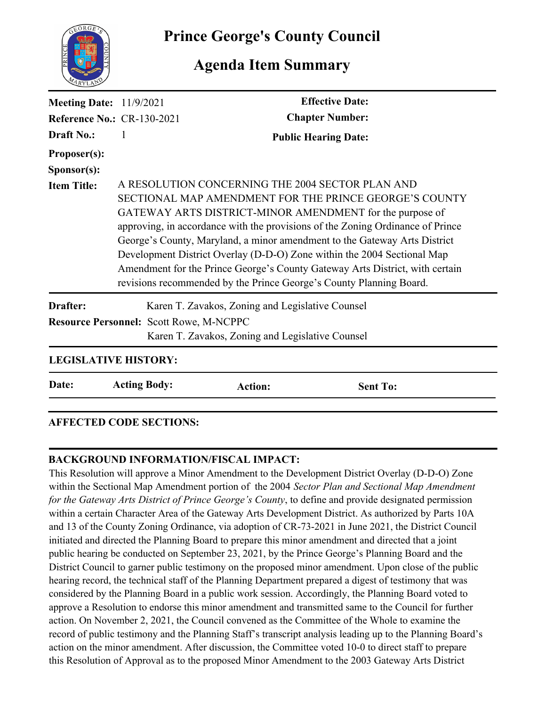

**Prince George's County Council**

## **Agenda Item Summary**

| <b>Meeting Date:</b> 11/9/2021                 |                                                                                                                                                                                                                                                                                                                                                                                                                                                                                                                                                                         | <b>Effective Date:</b>                           |
|------------------------------------------------|-------------------------------------------------------------------------------------------------------------------------------------------------------------------------------------------------------------------------------------------------------------------------------------------------------------------------------------------------------------------------------------------------------------------------------------------------------------------------------------------------------------------------------------------------------------------------|--------------------------------------------------|
| <b>Reference No.: CR-130-2021</b>              |                                                                                                                                                                                                                                                                                                                                                                                                                                                                                                                                                                         | <b>Chapter Number:</b>                           |
| <b>Draft No.:</b>                              | 1                                                                                                                                                                                                                                                                                                                                                                                                                                                                                                                                                                       | <b>Public Hearing Date:</b>                      |
| Proposer(s):                                   |                                                                                                                                                                                                                                                                                                                                                                                                                                                                                                                                                                         |                                                  |
| Sponsor(s):                                    |                                                                                                                                                                                                                                                                                                                                                                                                                                                                                                                                                                         |                                                  |
| <b>Item Title:</b>                             | A RESOLUTION CONCERNING THE 2004 SECTOR PLAN AND<br>SECTIONAL MAP AMENDMENT FOR THE PRINCE GEORGE'S COUNTY<br>GATEWAY ARTS DISTRICT-MINOR AMENDMENT for the purpose of<br>approving, in accordance with the provisions of the Zoning Ordinance of Prince<br>George's County, Maryland, a minor amendment to the Gateway Arts District<br>Development District Overlay (D-D-O) Zone within the 2004 Sectional Map<br>Amendment for the Prince George's County Gateway Arts District, with certain<br>revisions recommended by the Prince George's County Planning Board. |                                                  |
| Drafter:                                       |                                                                                                                                                                                                                                                                                                                                                                                                                                                                                                                                                                         | Karen T. Zavakos, Zoning and Legislative Counsel |
| <b>Resource Personnel: Scott Rowe, M-NCPPC</b> |                                                                                                                                                                                                                                                                                                                                                                                                                                                                                                                                                                         | Karen T. Zavakos, Zoning and Legislative Counsel |
| <b>LEGISLATIVE HISTORY:</b>                    |                                                                                                                                                                                                                                                                                                                                                                                                                                                                                                                                                                         |                                                  |
| Date:                                          | <b>Acting Body:</b>                                                                                                                                                                                                                                                                                                                                                                                                                                                                                                                                                     | <b>Sent To:</b><br><b>Action:</b>                |
|                                                |                                                                                                                                                                                                                                                                                                                                                                                                                                                                                                                                                                         |                                                  |

## **AFFECTED CODE SECTIONS:**

## **BACKGROUND INFORMATION/FISCAL IMPACT:**

This Resolution will approve a Minor Amendment to the Development District Overlay (D-D-O) Zone within the Sectional Map Amendment portion of the 2004 *Sector Plan and Sectional Map Amendment for the Gateway Arts District of Prince George's County*, to define and provide designated permission within a certain Character Area of the Gateway Arts Development District. As authorized by Parts 10A and 13 of the County Zoning Ordinance, via adoption of CR-73-2021 in June 2021, the District Council initiated and directed the Planning Board to prepare this minor amendment and directed that a joint public hearing be conducted on September 23, 2021, by the Prince George's Planning Board and the District Council to garner public testimony on the proposed minor amendment. Upon close of the public hearing record, the technical staff of the Planning Department prepared a digest of testimony that was considered by the Planning Board in a public work session. Accordingly, the Planning Board voted to approve a Resolution to endorse this minor amendment and transmitted same to the Council for further action. On November 2, 2021, the Council convened as the Committee of the Whole to examine the record of public testimony and the Planning Staff's transcript analysis leading up to the Planning Board's action on the minor amendment. After discussion, the Committee voted 10-0 to direct staff to prepare this Resolution of Approval as to the proposed Minor Amendment to the 2003 Gateway Arts District